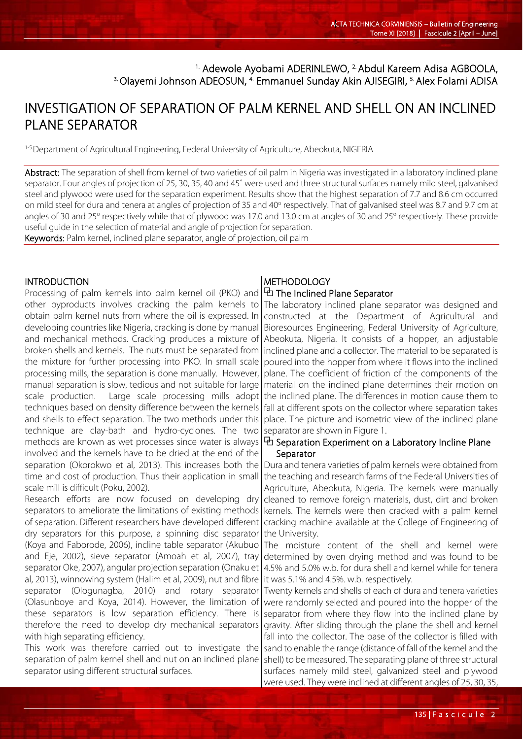# <sup>1.</sup> Adewole Ayobami ADERINLEWO, <sup>2.</sup> Abdul Kareem Adisa AGBOOLA, <sup>3.</sup> Olayemi Johnson ADEOSUN, <sup>4.</sup> Emmanuel Sunday Akin AJISEGIRI, <sup>5.</sup> Alex Folami ADISA

# INVESTIGATION OF SEPARATION OF PALM KERNEL AND SHELL ON AN INCLINED PLANE SEPARATOR

1-5.Department of Agricultural Engineering, Federal University of Agriculture, Abeokuta, NIGERIA

Abstract: The separation of shell from kernel of two varieties of oil palm in Nigeria was investigated in a laboratory inclined plane separator. Four angles of projection of 25, 30, 35, 40 and 45˚ were used and three structural surfaces namely mild steel, galvanised steel and plywood were used for the separation experiment. Results show that the highest separation of 7.7 and 8.6 cm occurred on mild steel for dura and tenera at angles of projection of 35 and 40° respectively. That of galvanised steel was 8.7 and 9.7 cm at angles of 30 and 25° respectively while that of plywood was 17.0 and 13.0 cm at angles of 30 and 25° respectively. These provide useful guide in the selection of material and angle of projection for separation. Keywords: Palm kernel, inclined plane separator, angle of projection, oil palm

**INTRODUCTION** Processing of palm kernels into palm kernel oil (PKO) and other byproducts involves cracking the palm kernels to obtain palm kernel nuts from where the oil is expressed. In developing countries like Nigeria, cracking is done by manual and mechanical methods. Cracking produces a mixture of broken shells and kernels. The nuts must be separated from the mixture for further processing into PKO. In small scale processing mills, the separation is done manually. However, manual separation is slow, tedious and not suitable for large scale production. Large scale processing mills adopt techniques based on density difference between the kernels and shells to effect separation. The two methods under this technique are clay-bath and hydro-cyclones. The two methods are known as wet processes since water is always involved and the kernels have to be dried at the end of the separation (Okorokwo et al, 2013). This increases both the time and cost of production. Thus their application in small scale mill is difficult (Poku, 2002).

Research efforts are now focused on developing dry separators to ameliorate the limitations of existing methods of separation. Different researchers have developed different dry separators for this purpose, a spinning disc separator (Koya and Faborode, 2006), incline table separator (Akubuo and Eje, 2002), sieve separator (Amoah et al, 2007), tray separator Oke, 2007), angular projection separation (Onaku et al, 2013), winnowing system (Halim et al, 2009), nut and fibre separator (Ologunagba, 2010) and rotary separator (Olasunboye and Koya, 2014). However, the limitation of these separators is low separation efficiency. There is therefore the need to develop dry mechanical separators with high separating efficiency.

This work was therefore carried out to investigate the separation of palm kernel shell and nut on an inclined plane separator using different structural surfaces.

l

## **METHODOLOGY** ⧉ The Inclined Plane Separator

The laboratory inclined plane separator was designed and constructed at the Department of Agricultural and Bioresources Engineering, Federal University of Agriculture, Abeokuta, Nigeria. It consists of a hopper, an adjustable inclined plane and a collector. The material to be separated is poured into the hopper from where it flows into the inclined plane. The coefficient of friction of the components of the material on the inclined plane determines their motion on the inclined plane. The differences in motion cause them to fall at different spots on the collector where separation takes place. The picture and isometric view of the inclined plane separator are shown in Figure 1.

# ⧉ Separation Experiment on a Laboratory Incline Plane **Separator**

Dura and tenera varieties of palm kernels were obtained from the teaching and research farms of the Federal Universities of Agriculture, Abeokuta, Nigeria. The kernels were manually cleaned to remove foreign materials, dust, dirt and broken kernels. The kernels were then cracked with a palm kernel cracking machine available at the College of Engineering of the University.

The moisture content of the shell and kernel were determined by oven drying method and was found to be 4.5% and 5.0% w.b. for dura shell and kernel while for tenera it was 5.1% and 4.5%. w.b. respectively.

Twenty kernels and shells of each of dura and tenera varieties were randomly selected and poured into the hopper of the separator from where they flow into the inclined plane by gravity. After sliding through the plane the shell and kernel fall into the collector. The base of the collector is filled with sand to enable the range (distance of fall of the kernel and the shell) to be measured. The separating plane of three structural surfaces namely mild steel, galvanized steel and plywood

were used. They were inclined at different angles of 25, 30, 35,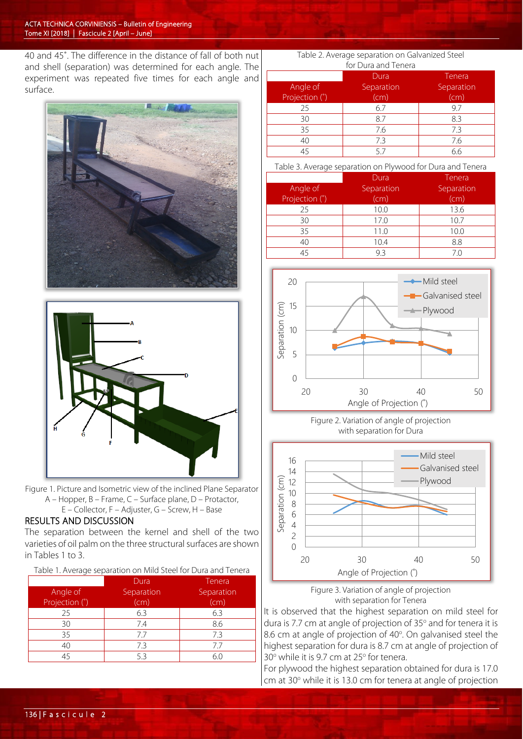40 and 45°. The difference in the distance of fall of both nut and shell (separation) was determined for each angle. The experiment was repeated five times for each angle and surface.





- Figure 1. Picture and Isometric view of the inclined Plane Separator A – Hopper, B – Frame, C – Surface plane, D – Protactor,
	- E Collector, F Adjuster, G Screw, H Base

# RESULTS AND DISCUSSION

The separation between the kernel and shell of the two varieties of oil palm on the three structural surfaces are shown in Tables 1 to 3.

| Table 1. Average separation on Mild Steel for Dura and Tenera |  |
|---------------------------------------------------------------|--|
|---------------------------------------------------------------|--|

|                            | Dura               | Tenera             |
|----------------------------|--------------------|--------------------|
| Angle of<br>Projection (°) | Separation<br>(cm) | Separation<br>(cm) |
| 25                         | 6.3                | 6.3                |
| 30                         | 7.4                | 8.6                |
| 35                         | 7.7                | 7.3                |
| 40                         | 7.3                | 77                 |
| 45                         | 53                 | 60                 |

#### Table 2. Average separation on Galvanized Steel for Dura and Tenera

|                | Dura       | Tenera     |  |  |
|----------------|------------|------------|--|--|
| Angle of       | Separation | Separation |  |  |
| Projection (°) | (cm)       | (cm)       |  |  |
| 25             | 6.7        | 9.7        |  |  |
| 30             | 8.7        | 8.3        |  |  |
| 35             | 7.6        | 7.3        |  |  |
| 40             | 7.3        | 7.6        |  |  |
| 45             |            | 6.6        |  |  |

Table 3. Average separation on Plywood for Dura and Tenera

| Angle of<br>Projection (°) | Dura<br>Separation<br>(cm) | Tenera<br>Separation<br>(cm) |
|----------------------------|----------------------------|------------------------------|
| 25                         | 10.0                       | 13.6                         |
| 30                         | 17.0                       | 10.7                         |
| 35                         | 11.0                       | 10.0                         |
| 40                         | 10.4                       | 8.8                          |
| 45                         | 93                         | 7.0                          |







Figure 3. Variation of angle of projection with separation for Tenera

It is observed that the highest separation on mild steel for dura is 7.7 cm at angle of projection of 35° and for tenera it is 8.6 cm at angle of projection of 40°. On galvanised steel the highest separation for dura is 8.7 cm at angle of projection of  $30^\circ$  while it is 9.7 cm at 25 $^\circ$  for tenera.

For plywood the highest separation obtained for dura is 17.0 cm at 30° while it is 13.0 cm for tenera at angle of projection